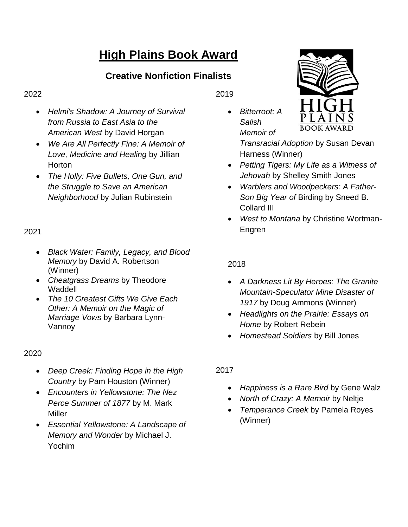# **High Plains Book Award**

# **Creative Nonfiction Finalists**

#### 2022

- *Helmi's Shadow: A Journey of Survival from Russia to East Asia to the American West* by David Horgan
- *We Are All Perfectly Fine: A Memoir of Love, Medicine and Healing* by Jillian **Horton**
- *The Holly: Five Bullets, One Gun, and the Struggle to Save an American Neighborhood* by Julian Rubinstein

# 2021

- *Black Water: Family, Legacy, and Blood Memory* by David A. Robertson (Winner)
- *Cheatgrass Dreams* by Theodore **Waddell**
- *The 10 Greatest Gifts We Give Each Other: A Memoir on the Magic of Marriage Vows* by Barbara Lynn-Vannoy

#### 2020

- *Deep Creek: Finding Hope in the High Country* by Pam Houston (Winner)
- *Encounters in Yellowstone: The Nez Perce Summer of 1877* by M. Mark Miller
- *Essential Yellowstone: A Landscape of Memory and Wonder* by Michael J. Yochim

2019

 *Bitterroot: A Salish Memoir of* 



*Transracial Adoption* by Susan Devan Harness (Winner)

- *Petting Tigers: My Life as a Witness of Jehovah* by Shelley Smith Jones
- *Warblers and Woodpeckers: A Father-Son Big Year of* Birding by Sneed B. Collard III
- *West to Montana* by Christine Wortman-Engren

#### 2018

- *A Darkness Lit By Heroes: The Granite Mountain-Speculator Mine Disaster of 1917* by Doug Ammons (Winner)
- *Headlights on the Prairie: Essays on Home* by Robert Rebein
- *Homestead Soldiers* by Bill Jones

### 2017

- *Happiness is a Rare Bird* by Gene Walz
- *North of Crazy: A Memoir* by Neltje
- *Temperance Creek* by Pamela Royes (Winner)